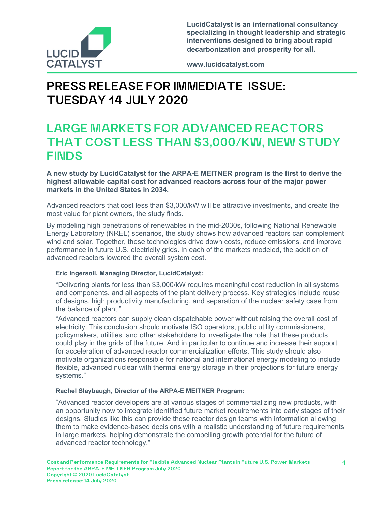

**LucidCatalyst is an international consultancy specializing in thought leadership and strategic interventions designed to bring about rapid decarbonization and prosperity for all.**

**www.lucidcatalyst.com**

# PRESS RELEASE FOR IMMEDIATE ISSUE: TUESDAY 14 JULY 2020

# LARGE MARKETS FOR ADVANCED REACTORS THAT COST LESS THAN \$3,000/KW, NEW STUDY FINDS

**A new study by LucidCatalyst for the ARPA-E MEITNER program is the first to derive the highest allowable capital cost for advanced reactors across four of the major power markets in the United States in 2034.** 

Advanced reactors that cost less than \$3,000/kW will be attractive investments, and create the most value for plant owners, the study finds.

By modeling high penetrations of renewables in the mid-2030s, following National Renewable Energy Laboratory (NREL) scenarios, the study shows how advanced reactors can complement wind and solar. Together, these technologies drive down costs, reduce emissions, and improve performance in future U.S. electricity grids. In each of the markets modeled, the addition of advanced reactors lowered the overall system cost.

#### **Eric Ingersoll, Managing Director, LucidCatalyst:**

"Delivering plants for less than \$3,000/kW requires meaningful cost reduction in all systems and components, and all aspects of the plant delivery process. Key strategies include reuse of designs, high productivity manufacturing, and separation of the nuclear safety case from the balance of plant."

"Advanced reactors can supply clean dispatchable power without raising the overall cost of electricity. This conclusion should motivate ISO operators, public utility commissioners, policymakers, utilities, and other stakeholders to investigate the role that these products could play in the grids of the future. And in particular to continue and increase their support for acceleration of advanced reactor commercialization efforts. This study should also motivate organizations responsible for national and international energy modeling to include flexible, advanced nuclear with thermal energy storage in their projections for future energy systems."

#### **Rachel Slaybaugh, Director of the ARPA-E MEITNER Program:**

"Advanced reactor developers are at various stages of commercializing new products, with an opportunity now to integrate identified future market requirements into early stages of their designs. Studies like this can provide these reactor design teams with information allowing them to make evidence-based decisions with a realistic understanding of future requirements in large markets, helping demonstrate the compelling growth potential for the future of advanced reactor technology."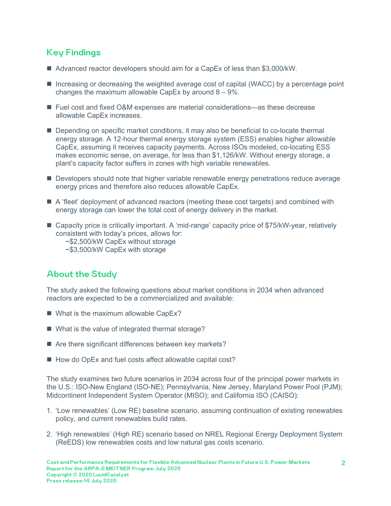#### Key Findings

- Advanced reactor developers should aim for a CapEx of less than \$3,000/kW.
- $\blacksquare$  Increasing or decreasing the weighted average cost of capital (WACC) by a percentage point changes the maximum allowable CapEx by around  $8 - 9\%$ .
- Fuel cost and fixed O&M expenses are material considerations—as these decrease allowable CapEx increases.
- Depending on specific market conditions, it may also be beneficial to co-locate thermal energy storage. A 12-hour thermal energy storage system (ESS) enables higher allowable CapEx, assuming it receives capacity payments. Across ISOs modeled, co-locating ESS makes economic sense, on average, for less than \$1,126/kW. Without energy storage, a plant's capacity factor suffers in zones with high variable renewables.
- **n** Developers should note that higher variable renewable energy penetrations reduce average energy prices and therefore also reduces allowable CapEx.
- A 'fleet' deployment of advanced reactors (meeting these cost targets) and combined with energy storage can lower the total cost of energy delivery in the market.
- Capacity price is critically important. A 'mid-range' capacity price of \$75/kW-year, relatively consistent with today's prices, allows for:
	- ~\$2,500/kW CapEx without storage
	- ~\$3,500/kW CapEx with storage

### About the Study

The study asked the following questions about market conditions in 2034 when advanced reactors are expected to be a commercialized and available:

- $\blacksquare$  What is the maximum allowable CapEx?
- $\blacksquare$  What is the value of integrated thermal storage?
- Are there significant differences between key markets?
- How do OpEx and fuel costs affect allowable capital cost?

The study examines two future scenarios in 2034 across four of the principal power markets in the U.S.: ISO-New England (ISO-NE); Pennsylvania, New Jersey, Maryland Power Pool (PJM); Midcontinent Independent System Operator (MISO); and California ISO (CAISO):

- 1. 'Low renewables' (Low RE) baseline scenario, assuming continuation of existing renewables policy, and current renewables build rates.
- 2. 'High renewables' (High RE) scenario based on NREL Regional Energy Deployment System (ReEDS) low renewables costs and low natural gas costs scenario.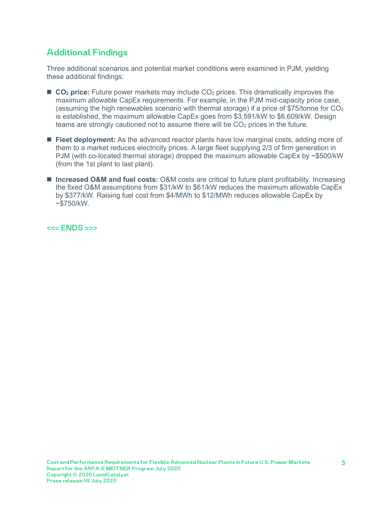#### Additional Findings

Three additional scenarios and potential market conditions were examined in PJM, yielding these additional findings:

- CO<sub>2</sub> price: Future power markets may include CO<sub>2</sub> prices. This dramatically improves the maximum allowable CapEx requirements. For example, in the PJM mid-capacity price case, (assuming the high renewables scenario with thermal storage) if a price of \$75/tonne for  $CO<sub>2</sub>$ is established, the maximum allowable CapEx goes from \$3,591/kW to \$6,609/kW. Design teams are strongly cautioned not to assume there will be  $CO<sub>2</sub>$  prices in the future.
- **Fleet deployment:** As the advanced reactor plants have low marginal costs, adding more of them to a market reduces electricity prices. A large fleet supplying 2/3 of firm generation in PJM (with co-located thermal storage) dropped the maximum allowable CapEx by ~\$500/kW (from the 1st plant to last plant).
- Increased O&M and fuel costs: O&M costs are critical to future plant profitability. Increasing the fixed O&M assumptions from \$31/kW to \$61/kW reduces the maximum allowable CapEx by \$377/kW. Raising fuel cost from \$4/MWh to \$12/MWh reduces allowable CapEx by  $~5750$ /kW.

<<< ENDS >>>